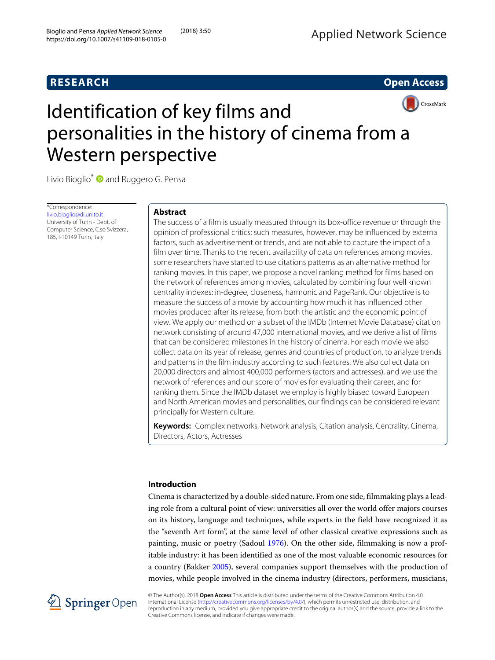CrossMark

# Identification of key films and personalities in the history of cinema from a Western perspective

Livio Bioglio<sup>\*</sup> and Ruggero G. Pensa

\*Correspondence: [livio.bioglio@di.unito.it](mailto: livio.bioglio@di.unito.it) University of Turin - Dept. of Computer Science, C.so Svizzera, 185, I-10149 Turin, Italy

# **Abstract**

The success of a film is usually measured through its box-office revenue or through the opinion of professional critics; such measures, however, may be influenced by external factors, such as advertisement or trends, and are not able to capture the impact of a film over time. Thanks to the recent availability of data on references among movies, some researchers have started to use citations patterns as an alternative method for ranking movies. In this paper, we propose a novel ranking method for films based on the network of references among movies, calculated by combining four well known centrality indexes: in-degree, closeness, harmonic and PageRank. Our objective is to measure the success of a movie by accounting how much it has influenced other movies produced after its release, from both the artistic and the economic point of view. We apply our method on a subset of the IMDb (Internet Movie Database) citation network consisting of around 47,000 international movies, and we derive a list of films that can be considered milestones in the history of cinema. For each movie we also collect data on its year of release, genres and countries of production, to analyze trends and patterns in the film industry according to such features. We also collect data on 20,000 directors and almost 400,000 performers (actors and actresses), and we use the network of references and our score of movies for evaluating their career, and for ranking them. Since the IMDb dataset we employ is highly biased toward European and North American movies and personalities, our findings can be considered relevant principally for Western culture.

**Keywords:** Complex networks, Network analysis, Citation analysis, Centrality, Cinema, Directors, Actors, Actresses

# **Introduction**

Cinema is characterized by a double-sided nature. From one side, filmmaking plays a leading role from a cultural point of view: universities all over the world offer majors courses on its history, language and techniques, while experts in the field have recognized it as the "seventh Art form", at the same level of other classical creative expressions such as painting, music or poetry (Sadoul [1976\)](#page-22-0). On the other side, filmmaking is now a profitable industry: it has been identified as one of the most valuable economic resources for a country (Bakker [2005\)](#page-21-0), several companies support themselves with the production of movies, while people involved in the cinema industry (directors, performers, musicians,



© The Author(s). 2018 **Open Access** This article is distributed under the terms of the Creative Commons Attribution 4.0 International License [\(http://creativecommons.org/licenses/by/4.0/\)](http://creativecommons.org/licenses/by/4.0/), which permits unrestricted use, distribution, and reproduction in any medium, provided you give appropriate credit to the original author(s) and the source, provide a link to the Creative Commons license, and indicate if changes were made.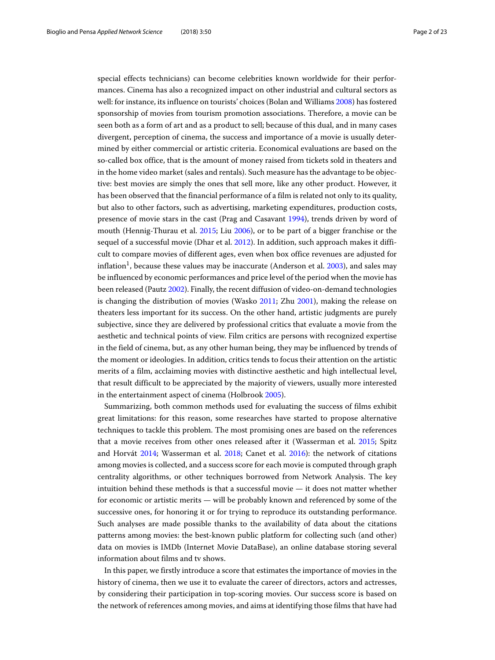special effects technicians) can become celebrities known worldwide for their performances. Cinema has also a recognized impact on other industrial and cultural sectors as well: for instance, its influence on tourists' choices (Bolan and Williams [2008\)](#page-21-1) has fostered sponsorship of movies from tourism promotion associations. Therefore, a movie can be seen both as a form of art and as a product to sell; because of this dual, and in many cases divergent, perception of cinema, the success and importance of a movie is usually determined by either commercial or artistic criteria. Economical evaluations are based on the so-called box office, that is the amount of money raised from tickets sold in theaters and in the home video market (sales and rentals). Such measure has the advantage to be objective: best movies are simply the ones that sell more, like any other product. However, it has been observed that the financial performance of a film is related not only to its quality, but also to other factors, such as advertising, marketing expenditures, production costs, presence of movie stars in the cast (Prag and Casavant [1994\)](#page-22-1), trends driven by word of mouth (Hennig-Thurau et al. [2015;](#page-22-2) Liu [2006\)](#page-22-3), or to be part of a bigger franchise or the sequel of a successful movie (Dhar et al. [2012\)](#page-22-4). In addition, such approach makes it difficult to compare movies of different ages, even when box office revenues are adjusted for inflation<sup>1</sup>, because these values may be inaccurate (Anderson et al. [2003\)](#page-21-2), and sales may be influenced by economic performances and price level of the period when the movie has been released (Pautz [2002\)](#page-22-5). Finally, the recent diffusion of video-on-demand technologies is changing the distribution of movies (Wasko [2011;](#page-22-6) Zhu [2001\)](#page-22-7), making the release on theaters less important for its success. On the other hand, artistic judgments are purely subjective, since they are delivered by professional critics that evaluate a movie from the aesthetic and technical points of view. Film critics are persons with recognized expertise in the field of cinema, but, as any other human being, they may be influenced by trends of the moment or ideologies. In addition, critics tends to focus their attention on the artistic merits of a film, acclaiming movies with distinctive aesthetic and high intellectual level, that result difficult to be appreciated by the majority of viewers, usually more interested in the entertainment aspect of cinema (Holbrook [2005\)](#page-22-8).

Summarizing, both common methods used for evaluating the success of films exhibit great limitations: for this reason, some researches have started to propose alternative techniques to tackle this problem. The most promising ones are based on the references that a movie receives from other ones released after it (Wasserman et al. [2015;](#page-22-9) Spitz and Horvát [2014;](#page-22-10) Wasserman et al. [2018;](#page-22-11) Canet et al. [2016\)](#page-21-3): the network of citations among movies is collected, and a success score for each movie is computed through graph centrality algorithms, or other techniques borrowed from Network Analysis. The key intuition behind these methods is that a successful movie — it does not matter whether for economic or artistic merits — will be probably known and referenced by some of the successive ones, for honoring it or for trying to reproduce its outstanding performance. Such analyses are made possible thanks to the availability of data about the citations patterns among movies: the best-known public platform for collecting such (and other) data on movies is IMDb (Internet Movie DataBase), an online database storing several information about films and tv shows.

In this paper, we firstly introduce a score that estimates the importance of movies in the history of cinema, then we use it to evaluate the career of directors, actors and actresses, by considering their participation in top-scoring movies. Our success score is based on the network of references among movies, and aims at identifying those films that have had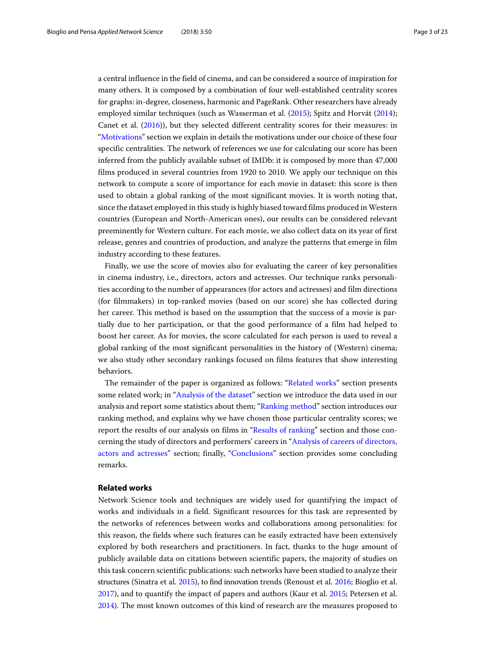a central influence in the field of cinema, and can be considered a source of inspiration for many others. It is composed by a combination of four well-established centrality scores for graphs: in-degree, closeness, harmonic and PageRank. Other researchers have already employed similar techniques (such as Wasserman et al. [\(2015\)](#page-22-9); Spitz and Horvát [\(2014\)](#page-22-10); Canet et al. [\(2016\)](#page-21-3)), but they selected different centrality scores for their measures: in ["Motivations"](#page-9-0) section we explain in details the motivations under our choice of these four specific centralities. The network of references we use for calculating our score has been inferred from the publicly available subset of IMDb: it is composed by more than 47,000 films produced in several countries from 1920 to 2010. We apply our technique on this network to compute a score of importance for each movie in dataset: this score is then used to obtain a global ranking of the most significant movies. It is worth noting that, since the dataset employed in this study is highly biased toward films produced in Western countries (European and North-American ones), our results can be considered relevant preeminently for Western culture. For each movie, we also collect data on its year of first release, genres and countries of production, and analyze the patterns that emerge in film industry according to these features.

Finally, we use the score of movies also for evaluating the career of key personalities in cinema industry, i.e., directors, actors and actresses. Our technique ranks personalities according to the number of appearances (for actors and actresses) and film directions (for filmmakers) in top-ranked movies (based on our score) she has collected during her career. This method is based on the assumption that the success of a movie is partially due to her participation, or that the good performance of a film had helped to boost her career. As for movies, the score calculated for each person is used to reveal a global ranking of the most significant personalities in the history of (Western) cinema; we also study other secondary rankings focused on films features that show interesting behaviors.

The remainder of the paper is organized as follows: ["Related works"](#page-2-0) section presents some related work; in ["Analysis of the dataset"](#page-4-0) section we introduce the data used in our analysis and report some statistics about them; ["Ranking method"](#page-8-0) section introduces our ranking method, and explains why we have chosen those particular centrality scores; we report the results of our analysis on films in ["Results of ranking"](#page-10-0) section and those concerning the study of directors and performers' careers in "Analysis of careers of directors, actors and actresses" section; finally, ["Conclusions"](#page-19-0) section provides some concluding remarks.

# <span id="page-2-0"></span>**Related works**

Network Science tools and techniques are widely used for quantifying the impact of works and individuals in a field. Significant resources for this task are represented by the networks of references between works and collaborations among personalities: for this reason, the fields where such features can be easily extracted have been extensively explored by both researchers and practitioners. In fact, thanks to the huge amount of publicly available data on citations between scientific papers, the majority of studies on this task concern scientific publications: such networks have been studied to analyze their structures (Sinatra et al. [2015\)](#page-22-12), to find innovation trends (Renoust et al. [2016;](#page-22-13) Bioglio et al. [2017\)](#page-21-4), and to quantify the impact of papers and authors (Kaur et al. [2015;](#page-22-14) Petersen et al. [2014\)](#page-22-15). The most known outcomes of this kind of research are the measures proposed to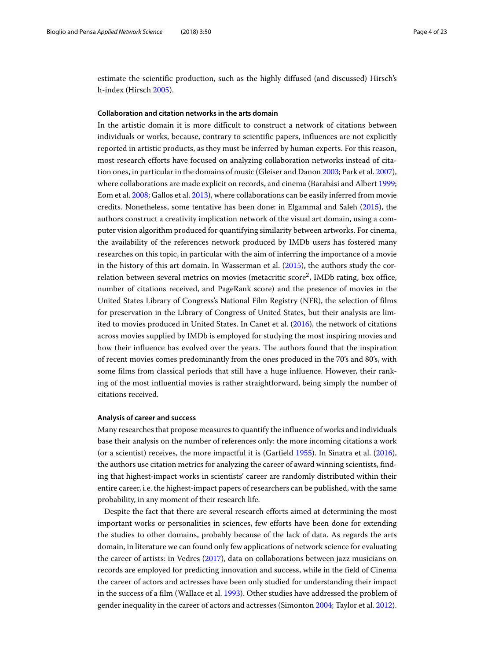estimate the scientific production, such as the highly diffused (and discussed) Hirsch's h-index (Hirsch [2005\)](#page-22-16).

# **Collaboration and citation networks in the arts domain**

In the artistic domain it is more difficult to construct a network of citations between individuals or works, because, contrary to scientific papers, influences are not explicitly reported in artistic products, as they must be inferred by human experts. For this reason, most research efforts have focused on analyzing collaboration networks instead of citation ones, in particular in the domains of music (Gleiser and Danon [2003;](#page-22-17) Park et al. [2007\)](#page-22-18), where collaborations are made explicit on records, and cinema (Barabási and Albert [1999;](#page-21-5) Eom et al. [2008;](#page-22-19) Gallos et al. [2013\)](#page-22-20), where collaborations can be easily inferred from movie credits. Nonetheless, some tentative has been done: in Elgammal and Saleh [\(2015\)](#page-22-21), the authors construct a creativity implication network of the visual art domain, using a computer vision algorithm produced for quantifying similarity between artworks. For cinema, the availability of the references network produced by IMDb users has fostered many researches on this topic, in particular with the aim of inferring the importance of a movie in the history of this art domain. In Wasserman et al. [\(2015\)](#page-22-9), the authors study the correlation between several metrics on movies (metacritic score<sup>2</sup>, IMDb rating, box office, number of citations received, and PageRank score) and the presence of movies in the United States Library of Congress's National Film Registry (NFR), the selection of films for preservation in the Library of Congress of United States, but their analysis are limited to movies produced in United States. In Canet et al. [\(2016\)](#page-21-3), the network of citations across movies supplied by IMDb is employed for studying the most inspiring movies and how their influence has evolved over the years. The authors found that the inspiration of recent movies comes predominantly from the ones produced in the 70's and 80's, with some films from classical periods that still have a huge influence. However, their ranking of the most influential movies is rather straightforward, being simply the number of citations received.

# **Analysis of career and success**

Many researches that propose measures to quantify the influence of works and individuals base their analysis on the number of references only: the more incoming citations a work (or a scientist) receives, the more impactful it is (Garfield [1955\)](#page-22-22). In Sinatra et al. [\(2016\)](#page-22-23), the authors use citation metrics for analyzing the career of award winning scientists, finding that highest-impact works in scientists' career are randomly distributed within their entire career, i.e. the highest-impact papers of researchers can be published, with the same probability, in any moment of their research life.

Despite the fact that there are several research efforts aimed at determining the most important works or personalities in sciences, few efforts have been done for extending the studies to other domains, probably because of the lack of data. As regards the arts domain, in literature we can found only few applications of network science for evaluating the career of artists: in Vedres [\(2017\)](#page-22-24), data on collaborations between jazz musicians on records are employed for predicting innovation and success, while in the field of Cinema the career of actors and actresses have been only studied for understanding their impact in the success of a film (Wallace et al. [1993\)](#page-22-25). Other studies have addressed the problem of gender inequality in the career of actors and actresses (Simonton [2004;](#page-22-26) Taylor et al. [2012\)](#page-22-27).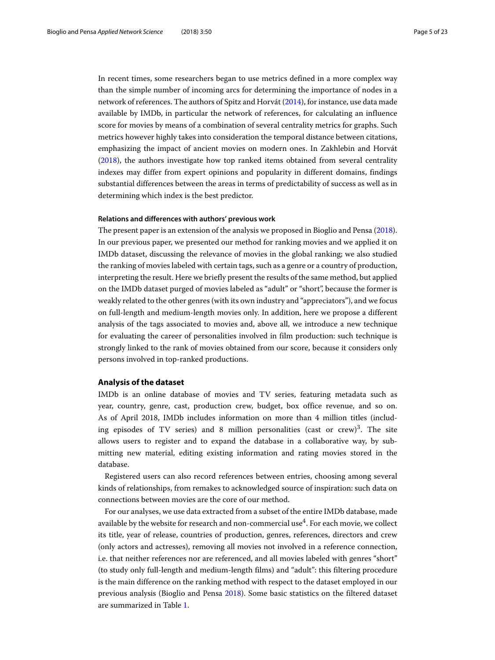In recent times, some researchers began to use metrics defined in a more complex way than the simple number of incoming arcs for determining the importance of nodes in a network of references. The authors of Spitz and Horvát [\(2014\)](#page-22-10), for instance, use data made available by IMDb, in particular the network of references, for calculating an influence score for movies by means of a combination of several centrality metrics for graphs. Such metrics however highly takes into consideration the temporal distance between citations, emphasizing the impact of ancient movies on modern ones. In Zakhlebin and Horvát [\(2018\)](#page-22-28), the authors investigate how top ranked items obtained from several centrality indexes may differ from expert opinions and popularity in different domains, findings substantial differences between the areas in terms of predictability of success as well as in determining which index is the best predictor.

# **Relations and differences with authors' previous work**

The present paper is an extension of the analysis we proposed in Bioglio and Pensa [\(2018\)](#page-21-6). In our previous paper, we presented our method for ranking movies and we applied it on IMDb dataset, discussing the relevance of movies in the global ranking; we also studied the ranking of movies labeled with certain tags, such as a genre or a country of production, interpreting the result. Here we briefly present the results of the same method, but applied on the IMDb dataset purged of movies labeled as "adult" or "short", because the former is weakly related to the other genres (with its own industry and "appreciators"), and we focus on full-length and medium-length movies only. In addition, here we propose a different analysis of the tags associated to movies and, above all, we introduce a new technique for evaluating the career of personalities involved in film production: such technique is strongly linked to the rank of movies obtained from our score, because it considers only persons involved in top-ranked productions.

## <span id="page-4-0"></span>**Analysis of the dataset**

IMDb is an online database of movies and TV series, featuring metadata such as year, country, genre, cast, production crew, budget, box office revenue, and so on. As of April 2018, IMDb includes information on more than 4 million titles (including episodes of TV series) and 8 million personalities (cast or crew)<sup>3</sup>. The site allows users to register and to expand the database in a collaborative way, by submitting new material, editing existing information and rating movies stored in the database.

Registered users can also record references between entries, choosing among several kinds of relationships, from remakes to acknowledged source of inspiration: such data on connections between movies are the core of our method.

For our analyses, we use data extracted from a subset of the entire IMDb database, made available by the website for research and non-commercial use<sup>4</sup>. For each movie, we collect its title, year of release, countries of production, genres, references, directors and crew (only actors and actresses), removing all movies not involved in a reference connection, i.e. that neither references nor are referenced, and all movies labeled with genres "short" (to study only full-length and medium-length films) and "adult": this filtering procedure is the main difference on the ranking method with respect to the dataset employed in our previous analysis (Bioglio and Pensa [2018\)](#page-21-6). Some basic statistics on the filtered dataset are summarized in Table [1.](#page-5-0)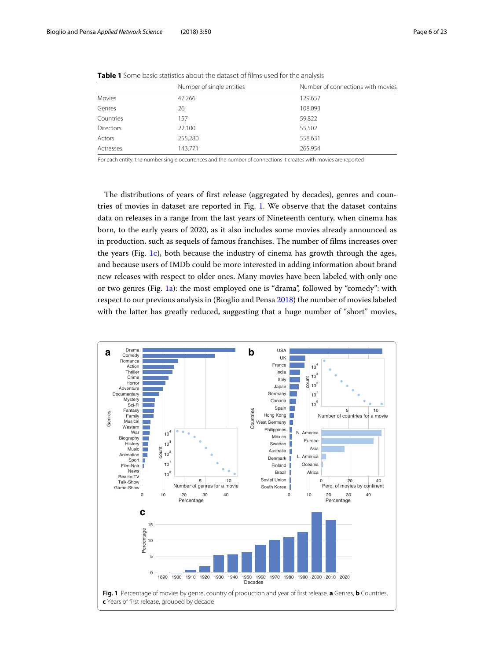|                  | Number of single entities | Number of connections with movies |
|------------------|---------------------------|-----------------------------------|
| Movies           | 47,266                    | 129,657                           |
| Genres           | 26                        | 108,093                           |
| Countries        | 157                       | 59,822                            |
| <b>Directors</b> | 22,100                    | 55,502                            |
| Actors           | 255,280                   | 558,631                           |
| Actresses        | 143.771                   | 265.954                           |

<span id="page-5-0"></span>**Table 1** Some basic statistics about the dataset of films used for the analysis

For each entity, the number single occurrences and the number of connections it creates with movies are reported

The distributions of years of first release (aggregated by decades), genres and countries of movies in dataset are reported in Fig. [1.](#page-5-1) We observe that the dataset contains data on releases in a range from the last years of Nineteenth century, when cinema has born, to the early years of 2020, as it also includes some movies already announced as in production, such as sequels of famous franchises. The number of films increases over the years (Fig. [1](#page-5-1)[c\)](#page-5-2), both because the industry of cinema has growth through the ages, and because users of IMDb could be more interested in adding information about brand new releases with respect to older ones. Many movies have been labeled with only one or two genres (Fig. [1](#page-5-1)[a\)](#page-5-2): the most employed one is "drama", followed by "comedy": with respect to our previous analysis in (Bioglio and Pensa [2018\)](#page-21-6) the number of movies labeled with the latter has greatly reduced, suggesting that a huge number of "short" movies,

<span id="page-5-2"></span><span id="page-5-1"></span>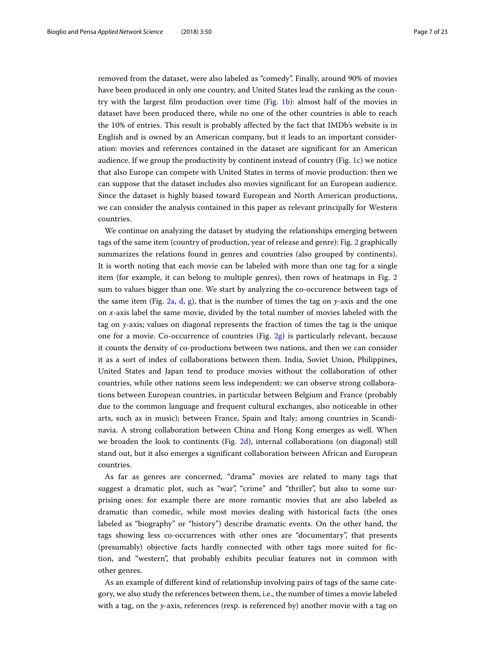removed from the dataset, were also labeled as "comedy". Finally, around 90% of movies have been produced in only one country, and United States lead the ranking as the country with the largest film production over time (Fig. [1](#page-5-1)[b\)](#page-5-2): almost half of the movies in dataset have been produced there, while no one of the other countries is able to reach the 10% of entries. This result is probably affected by the fact that IMDb's website is in English and is owned by an American company, but it leads to an important consideration: movies and references contained in the dataset are significant for an American audience. If we group the productivity by continent instead of country (Fig.  $1c$  $1c$ ) we notice that also Europe can compete with United States in terms of movie production: then we can suppose that the dataset includes also movies significant for an European audience. Since the dataset is highly biased toward European and North American productions, we can consider the analysis contained in this paper as relevant principally for Western countries.

We continue on analyzing the dataset by studying the relationships emerging between tags of the same item (country of production, year of release and genre): Fig. [2](#page-7-0) graphically summarizes the relations found in genres and countries (also grouped by continents). It is worth noting that each movie can be labeled with more than one tag for a single item (for example, it can belong to multiple genres), then rows of heatmaps in Fig. [2](#page-7-0) sum to values bigger than one. We start by analyzing the co-occurence between tags of the same item (Fig. [2](#page-7-0)[a,](#page-7-1) [d,](#page-7-1) [g\)](#page-7-1), that is the number of times the tag on *y*-axis and the one on *x*-axis label the same movie, divided by the total number of movies labeled with the tag on *y*-axis; values on diagonal represents the fraction of times the tag is the unique one for a movie. Co-occurrence of countries (Fig.  $2g$  $2g$ ) is particularly relevant, because it counts the density of co-productions between two nations, and then we can consider it as a sort of index of collaborations between them. India, Soviet Union, Philippines, United States and Japan tend to produce movies without the collaboration of other countries, while other nations seem less independent: we can observe strong collaborations between European countries, in particular between Belgium and France (probably due to the common language and frequent cultural exchanges, also noticeable in other arts, such as in music); between France, Spain and Italy; among countries in Scandinavia. A strong collaboration between China and Hong Kong emerges as well. When we broaden the look to continents (Fig. [2](#page-7-0)[d\)](#page-7-1), internal collaborations (on diagonal) still stand out, but it also emerges a significant collaboration between African and European countries.

As far as genres are concerned, "drama" movies are related to many tags that suggest a dramatic plot, such as "war", "crime" and "thriller", but also to some surprising ones: for example there are more romantic movies that are also labeled as dramatic than comedic, while most movies dealing with historical facts (the ones labeled as "biography" or "history") describe dramatic events. On the other hand, the tags showing less co-occurrences with other ones are "documentary", that presents (presumably) objective facts hardly connected with other tags more suited for fiction, and "western", that probably exhibits peculiar features not in common with other genres.

As an example of different kind of relationship involving pairs of tags of the same category, we also study the references between them, i.e., the number of times a movie labeled with a tag, on the *y*-axis, references (resp. is referenced by) another movie with a tag on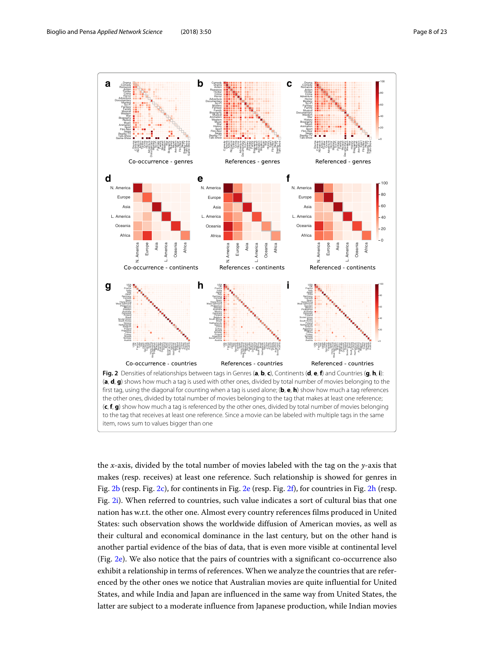

<span id="page-7-1"></span><span id="page-7-0"></span>item, rows sum to values bigger than one

the *x*-axis, divided by the total number of movies labeled with the tag on the *y*-axis that makes (resp. receives) at least one reference. Such relationship is showed for genres in Fig. [2](#page-7-0)[b](#page-7-1) (resp. Fig. [2](#page-7-0)[c\)](#page-7-1), for continents in Fig. [2](#page-7-0)[e](#page-7-1) (resp. Fig. [2](#page-7-0)[f\)](#page-7-1), for countries in Fig. [2](#page-7-0)[h](#page-7-1) (resp. Fig. [2](#page-7-0)[i\)](#page-7-1). When referred to countries, such value indicates a sort of cultural bias that one nation has w.r.t. the other one. Almost every country references films produced in United States: such observation shows the worldwide diffusion of American movies, as well as their cultural and economical dominance in the last century, but on the other hand is another partial evidence of the bias of data, that is even more visible at continental level (Fig. [2](#page-7-0)[e\)](#page-7-1). We also notice that the pairs of countries with a significant co-occurrence also exhibit a relationship in terms of references. When we analyze the countries that are referenced by the other ones we notice that Australian movies are quite influential for United States, and while India and Japan are influenced in the same way from United States, the latter are subject to a moderate influence from Japanese production, while Indian movies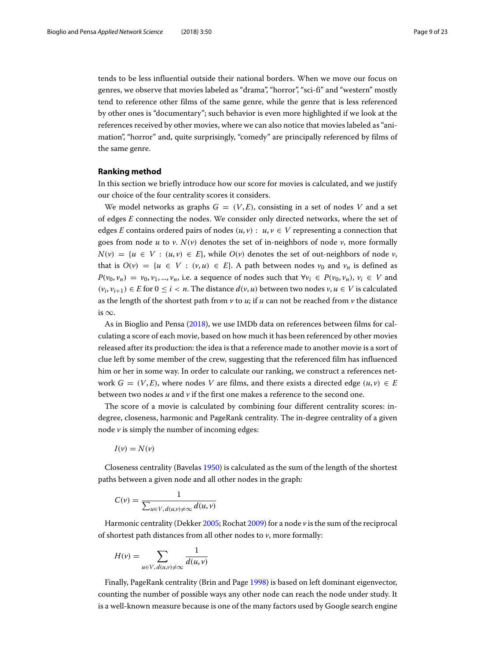tends to be less influential outside their national borders. When we move our focus on genres, we observe that movies labeled as "drama", "horror", "sci-fi" and "western" mostly tend to reference other films of the same genre, while the genre that is less referenced by other ones is "documentary"; such behavior is even more highlighted if we look at the references received by other movies, where we can also notice that movies labeled as "animation", "horror" and, quite surprisingly, "comedy" are principally referenced by films of the same genre.

# <span id="page-8-0"></span>**Ranking method**

In this section we briefly introduce how our score for movies is calculated, and we justify our choice of the four centrality scores it considers.

We model networks as graphs  $G = (V, E)$ , consisting in a set of nodes V and a set of edges *E* connecting the nodes. We consider only directed networks, where the set of edges *E* contains ordered pairs of nodes  $(u, v)$ :  $u, v \in V$  representing a connection that goes from node  $u$  to  $v$ .  $N(v)$  denotes the set of in-neighbors of node  $v$ , more formally  $N(v) = \{u \in V : (u, v) \in E\}$ , while  $O(v)$  denotes the set of out-neighbors of node  $v$ , that is  $O(v) = \{u \in V : (v, u) \in E\}$ . A path between nodes  $v_0$  and  $v_n$  is defined as  $P(v_0, v_n) = v_0, v_1, ..., v_n$ , i.e. a sequence of nodes such that  $\forall v_i \in P(v_0, v_n), v_i \in V$  and  $(v_i, v_{i+1})$  ∈ *E* for 0 ≤ *i* < *n*. The distance  $d(v, u)$  between two nodes  $v, u \in V$  is calculated as the length of the shortest path from  $\nu$  to  $\mu$ ; if  $\mu$  can not be reached from  $\nu$  the distance is  $\infty$ .

As in Bioglio and Pensa [\(2018\)](#page-21-6), we use IMDb data on references between films for calculating a score of each movie, based on how much it has been referenced by other movies released after its production: the idea is that a reference made to another movie is a sort of clue left by some member of the crew, suggesting that the referenced film has influenced him or her in some way. In order to calculate our ranking, we construct a references network  $G = (V, E)$ , where nodes V are films, and there exists a directed edge  $(u, v) \in E$ between two nodes *u* and *v* if the first one makes a reference to the second one.

The score of a movie is calculated by combining four different centrality scores: indegree, closeness, harmonic and PageRank centrality. The in-degree centrality of a given node  $\nu$  is simply the number of incoming edges:

$$
I(\nu) = N(\nu)
$$

Closeness centrality (Bavelas [1950\)](#page-21-7) is calculated as the sum of the length of the shortest paths between a given node and all other nodes in the graph:

$$
C(v) = \frac{1}{\sum_{u \in V, d(u,v) \neq \infty} d(u,v)}
$$

Harmonic centrality (Dekker [2005;](#page-22-29) Rochat [2009\)](#page-22-30) for a node *v* is the sum of the reciprocal of shortest path distances from all other nodes to *v*, more formally:

$$
H(v) = \sum_{u \in V, d(u,v) \neq \infty} \frac{1}{d(u,v)}
$$

Finally, PageRank centrality (Brin and Page [1998\)](#page-21-8) is based on left dominant eigenvector, counting the number of possible ways any other node can reach the node under study. It is a well-known measure because is one of the many factors used by Google search engine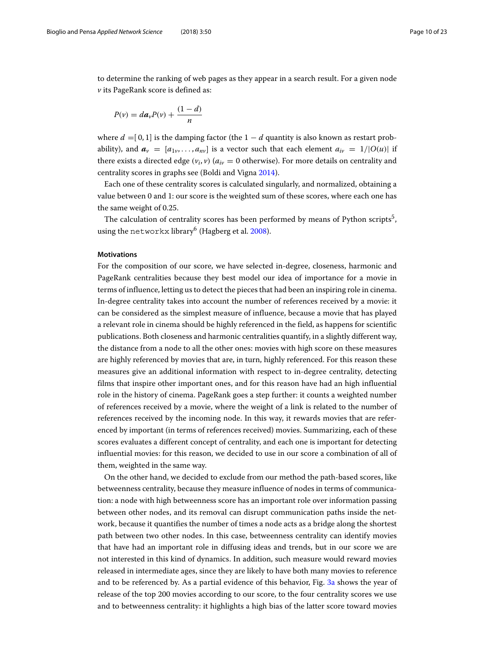to determine the ranking of web pages as they appear in a search result. For a given node *v* its PageRank score is defined as:

$$
P(v) = d\mathbf{a}_v P(v) + \frac{(1-d)}{n}
$$

where  $d = [0, 1]$  is the damping factor (the  $1 - d$  quantity is also known as restart probability), and  $a_v = [a_{1v}, \ldots, a_{nv}]$  is a vector such that each element  $a_{iv} = 1/|O(u)|$  if there exists a directed edge  $(v_i, v)$  ( $a_{iv} = 0$  otherwise). For more details on centrality and centrality scores in graphs see (Boldi and Vigna [2014\)](#page-21-9).

Each one of these centrality scores is calculated singularly, and normalized, obtaining a value between 0 and 1: our score is the weighted sum of these scores, where each one has the same weight of 0.25.

The calculation of centrality scores has been performed by means of Python scripts<sup>5</sup>, using the networkx library<sup>6</sup> (Hagberg et al. [2008\)](#page-22-31).

# <span id="page-9-0"></span>**Motivations**

For the composition of our score, we have selected in-degree, closeness, harmonic and PageRank centralities because they best model our idea of importance for a movie in terms of influence, letting us to detect the pieces that had been an inspiring role in cinema. In-degree centrality takes into account the number of references received by a movie: it can be considered as the simplest measure of influence, because a movie that has played a relevant role in cinema should be highly referenced in the field, as happens for scientific publications. Both closeness and harmonic centralities quantify, in a slightly different way, the distance from a node to all the other ones: movies with high score on these measures are highly referenced by movies that are, in turn, highly referenced. For this reason these measures give an additional information with respect to in-degree centrality, detecting films that inspire other important ones, and for this reason have had an high influential role in the history of cinema. PageRank goes a step further: it counts a weighted number of references received by a movie, where the weight of a link is related to the number of references received by the incoming node. In this way, it rewards movies that are referenced by important (in terms of references received) movies. Summarizing, each of these scores evaluates a different concept of centrality, and each one is important for detecting influential movies: for this reason, we decided to use in our score a combination of all of them, weighted in the same way.

On the other hand, we decided to exclude from our method the path-based scores, like betweenness centrality, because they measure influence of nodes in terms of communication: a node with high betweenness score has an important role over information passing between other nodes, and its removal can disrupt communication paths inside the network, because it quantifies the number of times a node acts as a bridge along the shortest path between two other nodes. In this case, betweenness centrality can identify movies that have had an important role in diffusing ideas and trends, but in our score we are not interested in this kind of dynamics. In addition, such measure would reward movies released in intermediate ages, since they are likely to have both many movies to reference and to be referenced by. As a partial evidence of this behavior, Fig. [3](#page-10-1)[a](#page-10-2) shows the year of release of the top 200 movies according to our score, to the four centrality scores we use and to betweenness centrality: it highlights a high bias of the latter score toward movies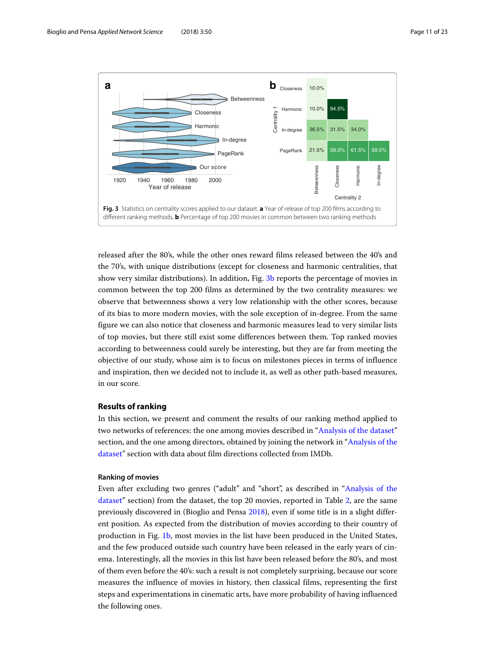

<span id="page-10-2"></span><span id="page-10-1"></span>released after the 80's, while the other ones reward films released between the 40's and the 70's, with unique distributions (except for closeness and harmonic centralities, that show very similar distributions). In addition, Fig. [3](#page-10-1)[b](#page-10-2) reports the percentage of movies in common between the top 200 films as determined by the two centrality measures: we observe that betweenness shows a very low relationship with the other scores, because of its bias to more modern movies, with the sole exception of in-degree. From the same figure we can also notice that closeness and harmonic measures lead to very similar lists of top movies, but there still exist some differences between them. Top ranked movies according to betweenness could surely be interesting, but they are far from meeting the objective of our study, whose aim is to focus on milestones pieces in terms of influence and inspiration, then we decided not to include it, as well as other path-based measures, in our score.

# <span id="page-10-0"></span>**Results of ranking**

In this section, we present and comment the results of our ranking method applied to two networks of references: the one among movies described in ["Analysis of the dataset"](#page-4-0) section, and the one among directors, obtained by joining the network in "Analysis of the dataset" section with data about film directions collected from IMDb.

# **Ranking of movies**

Even after excluding two genres ("adult" and "short", as described in "Analysis of the dataset" section) from the dataset, the top 20 movies, reported in Table [2,](#page-11-0) are the same previously discovered in (Bioglio and Pensa [2018\)](#page-21-6), even if some title is in a slight different position. As expected from the distribution of movies according to their country of production in Fig. [1](#page-5-1)[b,](#page-5-2) most movies in the list have been produced in the United States, and the few produced outside such country have been released in the early years of cinema. Interestingly, all the movies in this list have been released before the 80's, and most of them even before the 40's: such a result is not completely surprising, because our score measures the influence of movies in history, then classical films, representing the first steps and experimentations in cinematic arts, have more probability of having influenced the following ones.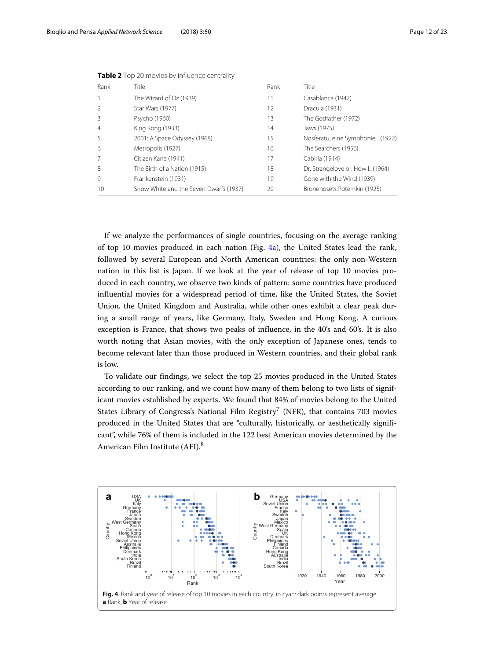| Rank           | Title                                  | Rank | Title                            |
|----------------|----------------------------------------|------|----------------------------------|
|                | The Wizard of Oz (1939)                | 11   | Casablanca (1942)                |
| $\mathcal{P}$  | Star Wars (1977)                       | 12   | Dracula (1931)                   |
| 3              | Psycho (1960)                          | 13   | The Godfather (1972)             |
| $\overline{4}$ | King Kong (1933)                       | 14   | Jaws (1975)                      |
| -5             | 2001: A Space Odyssey (1968)           | 15   | Nosferatu, eine Symphonie (1922) |
| 6              | Metropolis (1927)                      | 16   | The Searchers (1956)             |
| 7              | Citizen Kane (1941)                    | 17   | Cabiria (1914)                   |
| 8              | The Birth of a Nation (1915)           | 18   | Dr. Strangelove or: How I(1964)  |
| 9              | Frankenstein (1931)                    | 19   | Gone with the Wind (1939)        |
| 10             | Snow White and the Seven Dwarfs (1937) | 20   | Bronenosets Potemkin (1925)      |

<span id="page-11-0"></span>**Table 2** Top 20 movies by influence centrality

If we analyze the performances of single countries, focusing on the average ranking of top 10 movies produced in each nation (Fig. [4](#page-11-1)[a\)](#page-11-2), the United States lead the rank, followed by several European and North American countries: the only non-Western nation in this list is Japan. If we look at the year of release of top 10 movies produced in each country, we observe two kinds of pattern: some countries have produced influential movies for a widespread period of time, like the United States, the Soviet Union, the United Kingdom and Australia, while other ones exhibit a clear peak during a small range of years, like Germany, Italy, Sweden and Hong Kong. A curious exception is France, that shows two peaks of influence, in the 40's and 60's. It is also worth noting that Asian movies, with the only exception of Japanese ones, tends to become relevant later than those produced in Western countries, and their global rank is low.

To validate our findings, we select the top 25 movies produced in the United States according to our ranking, and we count how many of them belong to two lists of significant movies established by experts. We found that 84% of movies belong to the United States Library of Congress's National Film Registry<sup>7</sup> (NFR), that contains 703 movies produced in the United States that are "culturally, historically, or aesthetically significant", while 76% of them is included in the 122 best American movies determined by the American Film Institute (AFI).8

<span id="page-11-2"></span><span id="page-11-1"></span>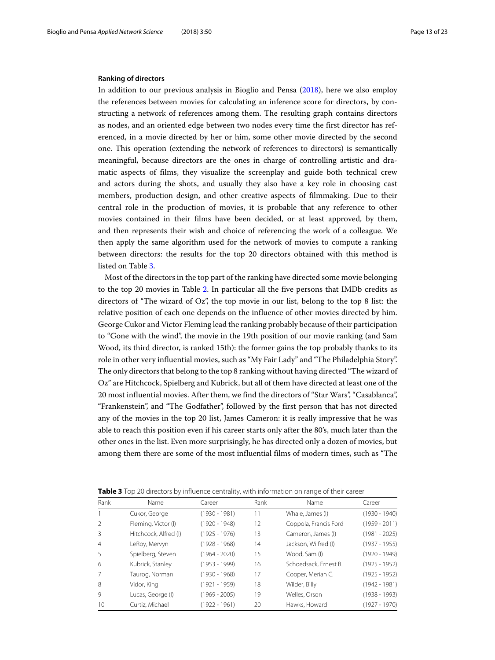# **Ranking of directors**

In addition to our previous analysis in Bioglio and Pensa [\(2018\)](#page-21-6), here we also employ the references between movies for calculating an inference score for directors, by constructing a network of references among them. The resulting graph contains directors as nodes, and an oriented edge between two nodes every time the first director has referenced, in a movie directed by her or him, some other movie directed by the second one. This operation (extending the network of references to directors) is semantically meaningful, because directors are the ones in charge of controlling artistic and dramatic aspects of films, they visualize the screenplay and guide both technical crew and actors during the shots, and usually they also have a key role in choosing cast members, production design, and other creative aspects of filmmaking. Due to their central role in the production of movies, it is probable that any reference to other movies contained in their films have been decided, or at least approved, by them, and then represents their wish and choice of referencing the work of a colleague. We then apply the same algorithm used for the network of movies to compute a ranking between directors: the results for the top 20 directors obtained with this method is listed on Table [3.](#page-12-0)

Most of the directors in the top part of the ranking have directed some movie belonging to the top 20 movies in Table [2.](#page-11-0) In particular all the five persons that IMDb credits as directors of "The wizard of Oz", the top movie in our list, belong to the top 8 list: the relative position of each one depends on the influence of other movies directed by him. George Cukor and Victor Fleming lead the ranking probably because of their participation to "Gone with the wind", the movie in the 19th position of our movie ranking (and Sam Wood, its third director, is ranked 15th): the former gains the top probably thanks to its role in other very influential movies, such as "My Fair Lady" and "The Philadelphia Story". The only directors that belong to the top 8 ranking without having directed "The wizard of Oz" are Hitchcock, Spielberg and Kubrick, but all of them have directed at least one of the 20 most influential movies. After them, we find the directors of "Star Wars", "Casablanca", "Frankenstein", and "The Godfather", followed by the first person that has not directed any of the movies in the top 20 list, James Cameron: it is really impressive that he was able to reach this position even if his career starts only after the 80's, much later than the other ones in the list. Even more surprisingly, he has directed only a dozen of movies, but among them there are some of the most influential films of modern times, such as "The

| Rank | Name                  | Career          | Rank | Name                  | Career          |
|------|-----------------------|-----------------|------|-----------------------|-----------------|
|      | Cukor, George         | $(1930 - 1981)$ | 11   | Whale, James (I)      | $(1930 - 1940)$ |
|      | Fleming, Victor (I)   | $(1920 - 1948)$ | 12   | Coppola, Francis Ford | $(1959 - 2011)$ |
| 3    | Hitchcock, Alfred (I) | $(1925 - 1976)$ | 13   | Cameron, James (I)    | $(1981 - 2025)$ |
| 4    | LeRoy, Mervyn         | $(1928 - 1968)$ | 14   | Jackson, Wilfred (I)  | $(1937 - 1955)$ |
|      | Spielberg, Steven     | $(1964 - 2020)$ | 15   | Wood, Sam (I)         | $(1920 - 1949)$ |
| 6    | Kubrick, Stanley      | $(1953 - 1999)$ | 16   | Schoedsack, Ernest B. | $(1925 - 1952)$ |
|      | Taurog, Norman        | $(1930 - 1968)$ | 17   | Cooper, Merian C.     | $(1925 - 1952)$ |
| 8    | Vidor, King           | $(1921 - 1959)$ | 18   | Wilder, Billy         | $(1942 - 1981)$ |
| 9    | Lucas, George (I)     | $(1969 - 2005)$ | 19   | Welles, Orson         | $(1938 - 1993)$ |
| 10   | Curtiz, Michael       | $(1922 - 1961)$ | 20   | Hawks, Howard         | $(1927 - 1970)$ |

<span id="page-12-0"></span>**Table 3** Top 20 directors by influence centrality, with information on range of their career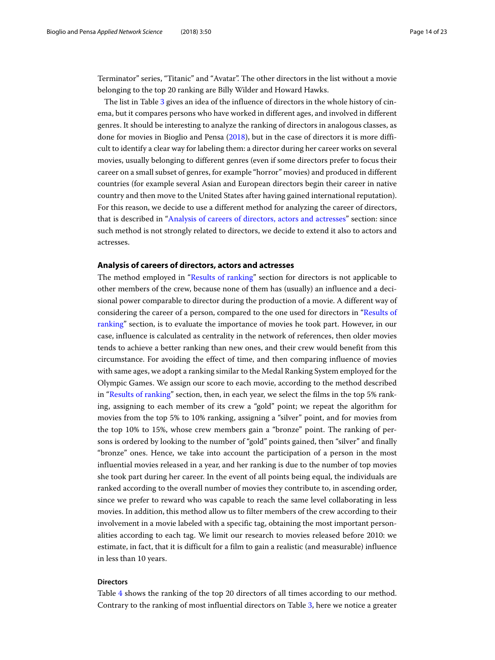Terminator" series, "Titanic" and "Avatar". The other directors in the list without a movie belonging to the top 20 ranking are Billy Wilder and Howard Hawks.

The list in Table [3](#page-12-0) gives an idea of the influence of directors in the whole history of cinema, but it compares persons who have worked in different ages, and involved in different genres. It should be interesting to analyze the ranking of directors in analogous classes, as done for movies in Bioglio and Pensa [\(2018\)](#page-21-6), but in the case of directors it is more difficult to identify a clear way for labeling them: a director during her career works on several movies, usually belonging to different genres (even if some directors prefer to focus their career on a small subset of genres, for example "horror" movies) and produced in different countries (for example several Asian and European directors begin their career in native country and then move to the United States after having gained international reputation). For this reason, we decide to use a different method for analyzing the career of directors, that is described in ["Analysis of careers of directors, actors and actresses"](#page-13-0) section: since such method is not strongly related to directors, we decide to extend it also to actors and actresses.

# <span id="page-13-0"></span>**Analysis of careers of directors, actors and actresses**

The method employed in ["Results of ranking"](#page-10-0) section for directors is not applicable to other members of the crew, because none of them has (usually) an influence and a decisional power comparable to director during the production of a movie. A different way of considering the career of a person, compared to the one used for directors in "Results of ranking" section, is to evaluate the importance of movies he took part. However, in our case, influence is calculated as centrality in the network of references, then older movies tends to achieve a better ranking than new ones, and their crew would benefit from this circumstance. For avoiding the effect of time, and then comparing influence of movies with same ages, we adopt a ranking similar to the Medal Ranking System employed for the Olympic Games. We assign our score to each movie, according to the method described in ["Results of ranking"](#page-10-0) section, then, in each year, we select the films in the top 5% ranking, assigning to each member of its crew a "gold" point; we repeat the algorithm for movies from the top 5% to 10% ranking, assigning a "silver" point, and for movies from the top 10% to 15%, whose crew members gain a "bronze" point. The ranking of persons is ordered by looking to the number of "gold" points gained, then "silver" and finally "bronze" ones. Hence, we take into account the participation of a person in the most influential movies released in a year, and her ranking is due to the number of top movies she took part during her career. In the event of all points being equal, the individuals are ranked according to the overall number of movies they contribute to, in ascending order, since we prefer to reward who was capable to reach the same level collaborating in less movies. In addition, this method allow us to filter members of the crew according to their involvement in a movie labeled with a specific tag, obtaining the most important personalities according to each tag. We limit our research to movies released before 2010: we estimate, in fact, that it is difficult for a film to gain a realistic (and measurable) influence in less than 10 years.

# **Directors**

Table [4](#page-14-0) shows the ranking of the top 20 directors of all times according to our method. Contrary to the ranking of most influential directors on Table [3,](#page-12-0) here we notice a greater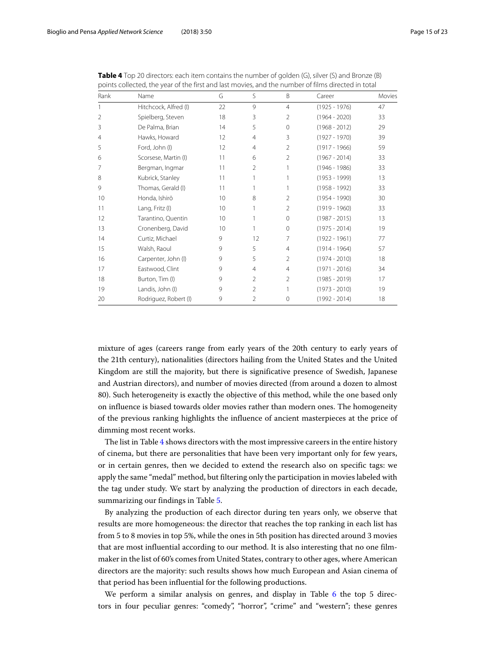| Rank | Name                  | G               | S              | B              | Career          | Movies |
|------|-----------------------|-----------------|----------------|----------------|-----------------|--------|
| 1    | Hitchcock, Alfred (I) | 22              | 9              | $\overline{4}$ | $(1925 - 1976)$ | 47     |
| 2    | Spielberg, Steven     | 18              | 3              | $\mathfrak{D}$ | $(1964 - 2020)$ | 33     |
| 3    | De Palma, Brian       | 14              | 5              | $\mathbf{0}$   | $(1968 - 2012)$ | 29     |
| 4    | Hawks, Howard         | 12              | $\overline{4}$ | 3              | $(1927 - 1970)$ | 39     |
| 5    | Ford, John (I)        | 12              | $\overline{4}$ | $\overline{2}$ | $(1917 - 1966)$ | 59     |
| 6    | Scorsese, Martin (I)  | 11              | 6              | $\overline{2}$ | $(1967 - 2014)$ | 33     |
| 7    | Bergman, Ingmar       | 11              | 2              | 1              | $(1946 - 1986)$ | 33     |
| 8    | Kubrick, Stanley      | 11              | 1              | 1              | $(1953 - 1999)$ | 13     |
| 9    | Thomas, Gerald (I)    | 11              | 1              | 1              | $(1958 - 1992)$ | 33     |
| 10   | Honda, Ishirō         | 10 <sup>°</sup> | 8              | $\overline{2}$ | $(1954 - 1990)$ | 30     |
| 11   | Lang, Fritz (I)       | 10 <sup>°</sup> | 1              | 2              | $(1919 - 1960)$ | 33     |
| 12   | Tarantino, Quentin    | 10 <sup>°</sup> |                | $\Omega$       | $(1987 - 2015)$ | 13     |
| 13   | Cronenberg, David     | 10              | 1              | $\Omega$       | $(1975 - 2014)$ | 19     |
| 14   | Curtiz, Michael       | 9               | 12             | 7              | $(1922 - 1961)$ | 77     |
| 15   | Walsh, Raoul          | 9               | 5              | $\overline{4}$ | $(1914 - 1964)$ | 57     |
| 16   | Carpenter, John (I)   | 9               | 5              | $\mathfrak{D}$ | $(1974 - 2010)$ | 18     |
| 17   | Eastwood, Clint       | 9               | $\overline{4}$ | $\overline{4}$ | $(1971 - 2016)$ | 34     |
| 18   | Burton, Tim (I)       | 9               | $\mathfrak{D}$ | $\overline{2}$ | $(1985 - 2019)$ | 17     |
| 19   | Landis, John (I)      | 9               | $\mathfrak{D}$ | 1              | $(1973 - 2010)$ | 19     |
| 20   | Rodriguez, Robert (I) | 9               | $\overline{2}$ | $\mathbf{0}$   | $(1992 - 2014)$ | 18     |

<span id="page-14-0"></span>**Table 4** Top 20 directors: each item contains the number of golden (G), silver (S) and Bronze (B) points collected, the year of the first and last movies, and the number of films directed in total

mixture of ages (careers range from early years of the 20th century to early years of the 21th century), nationalities (directors hailing from the United States and the United Kingdom are still the majority, but there is significative presence of Swedish, Japanese and Austrian directors), and number of movies directed (from around a dozen to almost 80). Such heterogeneity is exactly the objective of this method, while the one based only on influence is biased towards older movies rather than modern ones. The homogeneity of the previous ranking highlights the influence of ancient masterpieces at the price of dimming most recent works.

The list in Table [4](#page-14-0) shows directors with the most impressive careers in the entire history of cinema, but there are personalities that have been very important only for few years, or in certain genres, then we decided to extend the research also on specific tags: we apply the same "medal" method, but filtering only the participation in movies labeled with the tag under study. We start by analyzing the production of directors in each decade, summarizing our findings in Table [5.](#page-15-0)

By analyzing the production of each director during ten years only, we observe that results are more homogeneous: the director that reaches the top ranking in each list has from 5 to 8 movies in top 5%, while the ones in 5th position has directed around 3 movies that are most influential according to our method. It is also interesting that no one filmmaker in the list of 60's comes from United States, contrary to other ages, where American directors are the majority: such results shows how much European and Asian cinema of that period has been influential for the following productions.

We perform a similar analysis on genres, and display in Table [6](#page-15-1) the top 5 directors in four peculiar genres: "comedy", "horror", "crime" and "western"; these genres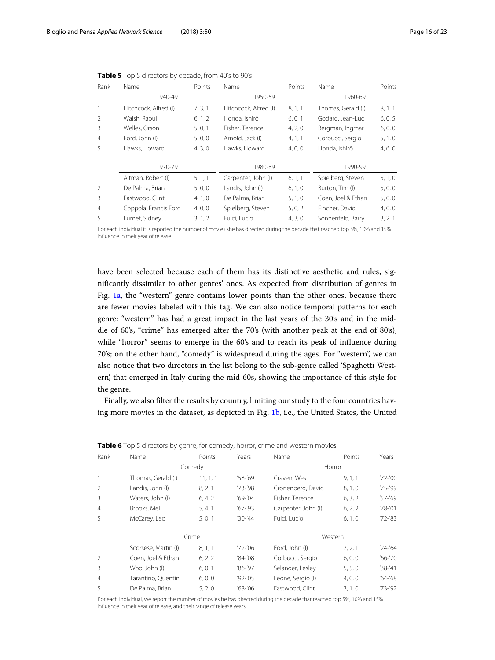| Rank           | Name                  | Points  | Name                  | Points  | Name               | Points  |
|----------------|-----------------------|---------|-----------------------|---------|--------------------|---------|
|                | 1940-49               |         | 1950-59               |         | 1960-69            |         |
|                | Hitchcock, Alfred (I) | 7, 3, 1 | Hitchcock, Alfred (I) | 8, 1, 1 | Thomas, Gerald (I) | 8, 1, 1 |
| 2              | Walsh, Raoul          | 6, 1, 2 | Honda, Ishirō         | 6, 0, 1 | Godard, Jean-Luc   | 6, 0, 5 |
| 3              | Welles, Orson         | 5, 0, 1 | Fisher, Terence       | 4, 2, 0 | Bergman, Ingmar    | 6, 0, 0 |
| $\overline{4}$ | Ford, John (I)        | 5, 0, 0 | Arnold, Jack (I)      | 4, 1, 1 | Corbucci, Sergio   | 5, 1, 0 |
| 5              | Hawks, Howard         | 4, 3, 0 | Hawks, Howard         | 4, 0, 0 | Honda, Ishirō      | 4, 6, 0 |
|                |                       |         |                       |         |                    |         |
|                | 1970-79               |         | 1980-89               |         | 1990-99            |         |
|                | Altman, Robert (I)    | 5, 1, 1 | Carpenter, John (I)   | 6, 1, 1 | Spielberg, Steven  | 5, 1, 0 |
| 2              | De Palma, Brian       | 5, 0, 0 | Landis, John (I)      | 6, 1, 0 | Burton, Tim (I)    | 5, 0, 0 |
| 3              | Eastwood, Clint       | 4, 1, 0 | De Palma, Brian       | 5, 1, 0 | Coen, Joel & Ethan | 5, 0, 0 |
| $\overline{4}$ | Coppola, Francis Ford | 4, 0, 0 | Spielberg, Steven     | 5, 0, 2 | Fincher, David     | 4, 0, 0 |
| 5              | Lumet, Sidney         | 3, 1, 2 | Fulci, Lucio          | 4, 3, 0 | Sonnenfeld, Barry  | 3, 2, 1 |

<span id="page-15-0"></span>**Table 5** Top 5 directors by decade, from 40's to 90's

For each individual it is reported the number of movies she has directed during the decade that reached top 5%, 10% and 15% influence in their year of release

have been selected because each of them has its distinctive aesthetic and rules, significantly dissimilar to other genres' ones. As expected from distribution of genres in Fig. [1](#page-5-1)[a,](#page-5-2) the "western" genre contains lower points than the other ones, because there are fewer movies labeled with this tag. We can also notice temporal patterns for each genre: "western" has had a great impact in the last years of the 30's and in the middle of 60's, "crime" has emerged after the 70's (with another peak at the end of 80's), while "horror" seems to emerge in the 60's and to reach its peak of influence during 70's; on the other hand, "comedy" is widespread during the ages. For "western", we can also notice that two directors in the list belong to the sub-genre called 'Spaghetti Western', that emerged in Italy during the mid-60s, showing the importance of this style for the genre.

Finally, we also filter the results by country, limiting our study to the four countries having more movies in the dataset, as depicted in Fig. [1](#page-5-1)[b,](#page-5-2) i.e., the United States, the United

| Rank           | Name                 | Points   | Years       | Name                | Points  | Years       |
|----------------|----------------------|----------|-------------|---------------------|---------|-------------|
|                |                      | Comedy   |             |                     | Horror  |             |
|                | Thomas, Gerald (I)   | 11, 1, 1 | $'58 - '69$ | Craven, Wes         | 9, 1, 1 | $72 - 00$   |
| $\mathfrak{D}$ | Landis, John (I)     | 8, 2, 1  | $'73-'98$   | Cronenberg, David   | 8, 1, 0 | $'75-'99$   |
| 3              | Waters, John (I)     | 6, 4, 2  | $'69-(04)$  | Fisher, Terence     | 6, 3, 2 | $'57 - '69$ |
| 4              | Brooks, Mel          | 5, 4, 1  | $'67 - '93$ | Carpenter, John (I) | 6, 2, 2 | $'78 - '01$ |
| 5              | McCarey, Leo         | 5, 0, 1  | $'30-'44$   | Fulci, Lucio        | 6, 1, 0 | $72 - 83$   |
|                |                      |          |             |                     |         |             |
|                |                      | Crime    |             | Western             |         |             |
|                | Scorsese, Martin (I) | 8, 1, 1  | $'72 - '06$ | Ford, John (I)      | 7, 2, 1 | $'24-(64)$  |
| $\mathcal{P}$  | Coen, Joel & Ethan   | 6, 2, 2  | $'84-'08$   | Corbucci, Sergio    | 6, 0, 0 | $'66-'70$   |
| 3              | Woo, John (I)        | 6, 0, 1  | $'86-'97$   | Selander, Lesley    | 5, 5, 0 | $'38-'41$   |
| $\overline{4}$ | Tarantino, Quentin   | 6, 0, 0  | $'92-'05$   | Leone, Sergio (I)   | 4, 0, 0 | $'64 - '68$ |
| 5              | De Palma, Brian      | 5, 2, 0  | $'68 - '06$ | Eastwood, Clint     | 3, 1, 0 | $'73-'92$   |

<span id="page-15-1"></span>**Table 6** Top 5 directors by genre, for comedy, horror, crime and western movies

For each individual, we report the number of movies he has directed during the decade that reached top 5%, 10% and 15% influence in their year of release, and their range of release years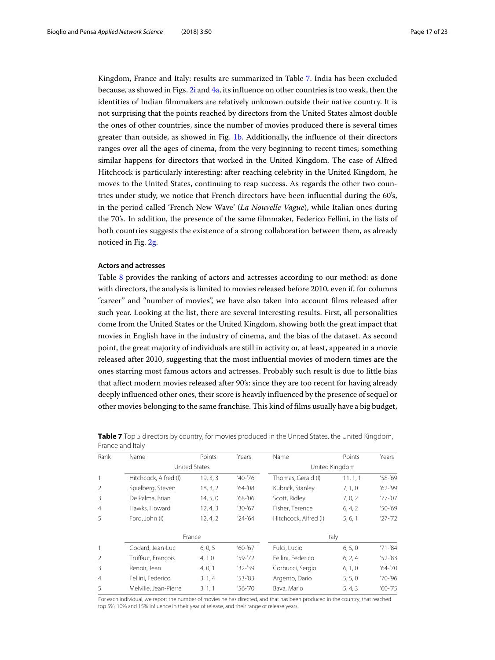Kingdom, France and Italy: results are summarized in Table [7.](#page-16-0) India has been excluded because, as showed in Figs. [2](#page-7-0)[i](#page-7-1) and [4](#page-11-1)[a,](#page-11-2) its influence on other countries is too weak, then the identities of Indian filmmakers are relatively unknown outside their native country. It is not surprising that the points reached by directors from the United States almost double the ones of other countries, since the number of movies produced there is several times greater than outside, as showed in Fig. [1](#page-5-1)[b.](#page-5-2) Additionally, the influence of their directors ranges over all the ages of cinema, from the very beginning to recent times; something similar happens for directors that worked in the United Kingdom. The case of Alfred Hitchcock is particularly interesting: after reaching celebrity in the United Kingdom, he moves to the United States, continuing to reap success. As regards the other two countries under study, we notice that French directors have been influential during the 60's, in the period called 'French New Wave' (*La Nouvelle Vague*), while Italian ones during the 70's. In addition, the presence of the same filmmaker, Federico Fellini, in the lists of both countries suggests the existence of a strong collaboration between them, as already noticed in Fig. [2](#page-7-0)[g.](#page-7-1)

# **Actors and actresses**

Table [8](#page-17-0) provides the ranking of actors and actresses according to our method: as done with directors, the analysis is limited to movies released before 2010, even if, for columns "career" and "number of movies", we have also taken into account films released after such year. Looking at the list, there are several interesting results. First, all personalities come from the United States or the United Kingdom, showing both the great impact that movies in English have in the industry of cinema, and the bias of the dataset. As second point, the great majority of individuals are still in activity or, at least, appeared in a movie released after 2010, suggesting that the most influential movies of modern times are the ones starring most famous actors and actresses. Probably such result is due to little bias that affect modern movies released after 90's: since they are too recent for having already deeply influenced other ones, their score is heavily influenced by the presence of sequel or other movies belonging to the same franchise. This kind of films usually have a big budget,

| Rank           | Name                  | Points        | Years       | Name                  | Points   | Years       |
|----------------|-----------------------|---------------|-------------|-----------------------|----------|-------------|
|                |                       | United States |             | United Kingdom        |          |             |
|                | Hitchcock, Alfred (I) | 19, 3, 3      | $'40-'76$   | Thomas, Gerald (I)    | 11, 1, 1 | $'58 - '69$ |
| $\mathfrak{D}$ | Spielberg, Steven     | 18, 3, 2      | $'64 - '08$ | Kubrick, Stanley      | 7, 1, 0  | $'62 - '99$ |
| 3              | De Palma, Brian       | 14, 5, 0      | $'68 - '06$ | Scott, Ridley         | 7, 0, 2  | $'77 - '07$ |
| 4              | Hawks, Howard         | 12, 4, 3      | $'30-'67$   | Fisher, Terence       | 6, 4, 2  | $'50-'69$   |
| 5              | Ford, John (I)        | 12, 4, 2      | $'24-(64)$  | Hitchcock, Alfred (I) | 5, 6, 1  | $'27-'72$   |
|                |                       | France        |             | Italy                 |          |             |
|                | Godard, Jean-Luc      | 6, 0, 5       | $'60-'67$   | Fulci, Lucio          | 6, 5, 0  | $'71 - '84$ |
| $\mathfrak{D}$ | Truffaut, François    | 4, 10         | $'59-'72$   | Fellini, Federico     | 6, 2, 4  | $'52 - '83$ |
| 3              | Renoir, Jean          | 4, 0, 1       | $'32-'39$   | Corbucci, Sergio      | 6, 1, 0  | $'64-'70$   |
| 4              | Fellini, Federico     | 3, 1, 4       | $'53-'83$   | Argento, Dario        | 5, 5, 0  | $'70-'96$   |
| 5              | Melville, Jean-Pierre | 3, 1, 1       | $'56-'70$   | Bava, Mario           | 5, 4, 3  | $'60-'75$   |

<span id="page-16-0"></span>**Table 7** Top 5 directors by country, for movies produced in the United States, the United Kingdom, France and Italy

For each individual, we report the number of movies he has directed, and that has been produced in the country, that reached top 5%, 10% and 15% influence in their year of release, and their range of release years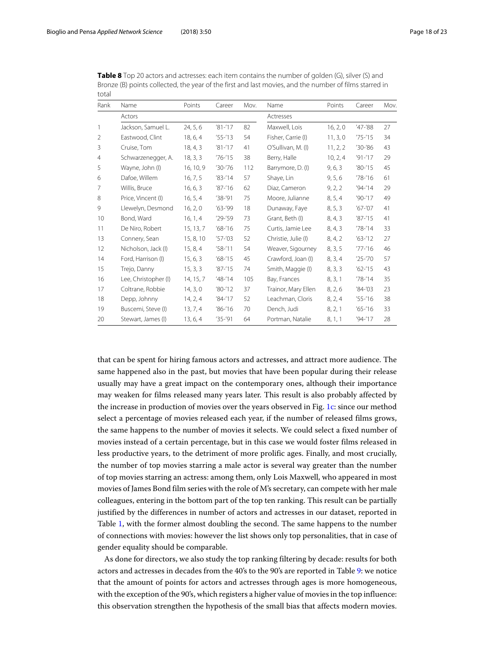| ιυιαι          |                      |           |             |      |                     |          |             |      |
|----------------|----------------------|-----------|-------------|------|---------------------|----------|-------------|------|
| Rank           | Name                 | Points    | Career      | Mov. | Name                | Points   | Career      | Mov. |
|                | Actors               |           |             |      | Actresses           |          |             |      |
| 1              | Jackson, Samuel L.   | 24, 5, 6  | $'81-'17$   | 82   | Maxwell, Lois       | 16, 2, 0 | $'47-'88$   | 27   |
| 2              | Eastwood, Clint      | 18, 6, 4  | $55 - 13$   | 54   | Fisher, Carrie (I)  | 11, 3, 0 | $75 - 15$   | 34   |
| 3              | Cruise, Tom          | 18, 4, 3  | $'81-'17$   | 41   | O'Sullivan, M. (I)  | 11, 2, 2 | $'30-'86$   | 43   |
| $\overline{4}$ | Schwarzenegger, A.   | 18, 3, 3  | $'76-15$    | 38   | Berry, Halle        | 10, 2, 4 | $'91-'17$   | 29   |
| 5              | Wayne, John (I)      | 16, 10, 9 | $'30-'76$   | 112  | Barrymore, D. (I)   | 9, 6, 3  | $'80-'15$   | 45   |
| 6              | Dafoe, Willem        | 16, 7, 5  | $'83-'14$   | 57   | Shaye, Lin          | 9, 5, 6  | $'78-16$    | 61   |
| 7              | Willis, Bruce        | 16, 6, 3  | $'87-'16$   | 62   | Diaz, Cameron       | 9, 2, 2  | $'94-'14$   | 29   |
| 8              | Price, Vincent (I)   | 16, 5, 4  | $'38-'91$   | 75   | Moore, Julianne     | 8, 5, 4  | $'90-'17$   | 49   |
| 9              | Llewelyn, Desmond    | 16, 2, 0  | $'63-'99$   | 18   | Dunaway, Faye       | 8, 5, 3  | $'67-'07$   | 41   |
| 10             | Bond, Ward           | 16, 1, 4  | $'29-'59$   | 73   | Grant, Beth (I)     | 8, 4, 3  | $'87-'15$   | 41   |
| 11             | De Niro, Robert      | 15, 13, 7 | $'68-'16$   | 75   | Curtis, Jamie Lee   | 8, 4, 3  | $'78-'14$   | 33   |
| 13             | Connery, Sean        | 15, 8, 10 | $'57 - '03$ | 52   | Christie, Julie (I) | 8, 4, 2  | $'63-'12$   | 27   |
| 12             | Nicholson, Jack (I)  | 15, 8, 4  | $'58-'11$   | 54   | Weaver, Sigourney   | 8, 3, 5  | $'77-'16$   | 46   |
| 14             | Ford, Harrison (I)   | 15, 6, 3  | $'68-'15$   | 45   | Crawford, Joan (I)  | 8, 3, 4  | $'25 - '70$ | 57   |
| 15             | Trejo, Danny         | 15, 3, 3  | $'87-'15$   | 74   | Smith, Maggie (I)   | 8, 3, 3  | $'62-'15$   | 43   |
| 16             | Lee, Christopher (I) | 14, 15, 7 | $'48-'14$   | 105  | Bay, Frances        | 8, 3, 1  | $'78-14$    | 35   |
| 17             | Coltrane, Robbie     | 14, 3, 0  | $'80-'12$   | 37   | Trainor, Mary Ellen | 8, 2, 6  | $'84-(03)$  | 23   |
| 18             | Depp, Johnny         | 14, 2, 4  | $'84-'17$   | 52   | Leachman, Cloris    | 8, 2, 4  | $55 - 16$   | 38   |
| 19             | Buscemi, Steve (I)   | 13, 7, 4  | $'86-'16$   | 70   | Dench, Judi         | 8, 2, 1  | $'65 - 16$  | 33   |
| 20             | Stewart, James (I)   | 13, 6, 4  | $'35-'91$   | 64   | Portman, Natalie    | 8, 1, 1  | $'94-'17$   | 28   |

<span id="page-17-0"></span>**Table 8** Top 20 actors and actresses: each item contains the number of golden (G), silver (S) and Bronze (B) points collected, the year of the first and last movies, and the number of films starred in  $t \sim t \sim 1$ 

that can be spent for hiring famous actors and actresses, and attract more audience. The same happened also in the past, but movies that have been popular during their release usually may have a great impact on the contemporary ones, although their importance may weaken for films released many years later. This result is also probably affected by the increase in production of movies over the years observed in Fig. [1](#page-5-1)[c:](#page-5-2) since our method select a percentage of movies released each year, if the number of released films grows, the same happens to the number of movies it selects. We could select a fixed number of movies instead of a certain percentage, but in this case we would foster films released in less productive years, to the detriment of more prolific ages. Finally, and most crucially, the number of top movies starring a male actor is several way greater than the number of top movies starring an actress: among them, only Lois Maxwell, who appeared in most movies of James Bond film series with the role of M's secretary, can compete with her male colleagues, entering in the bottom part of the top ten ranking. This result can be partially justified by the differences in number of actors and actresses in our dataset, reported in Table [1,](#page-5-0) with the former almost doubling the second. The same happens to the number of connections with movies: however the list shows only top personalities, that in case of gender equality should be comparable.

As done for directors, we also study the top ranking filtering by decade: results for both actors and actresses in decades from the 40's to the 90's are reported in Table [9:](#page-18-0) we notice that the amount of points for actors and actresses through ages is more homogeneous, with the exception of the 90's, which registers a higher value of movies in the top influence: this observation strengthen the hypothesis of the small bias that affects modern movies.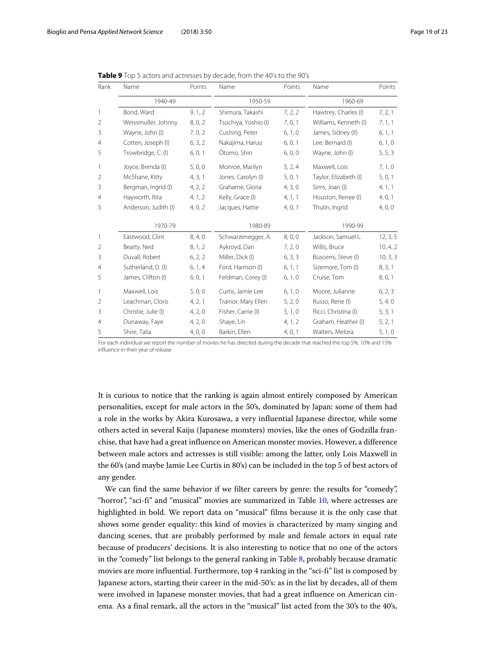| Rank           | Name                 | Points  | Name                 | Points  | Name                  | Points   |
|----------------|----------------------|---------|----------------------|---------|-----------------------|----------|
|                | 1940-49              |         | 1950-59              |         | 1960-69               |          |
| 1              | Bond, Ward           | 9, 1, 2 | Shimura, Takashi     | 7, 2, 2 | Hawtrey, Charles (I)  | 7, 2, 1  |
| 2              | Weissmuller, Johnny  | 8, 0, 2 | Tsuchiya, Yoshio (I) | 7, 0, 1 | Williams, Kenneth (I) | 7, 1, 1  |
| 3              | Wayne, John (I)      | 7, 0, 2 | Cushing, Peter       | 6, 1, 0 | James, Sidney (II)    | 6, 1, 1  |
| $\overline{4}$ | Cotten, Joseph (I)   | 6, 3, 2 | Nakajima, Haruo      | 6, 0, 1 | Lee, Bernard (I)      | 6, 1, 0  |
| 5              | Trowbridge, C. (I)   | 6, 0, 1 | Ōtomo, Shin          | 6, 0, 0 | Wayne, John (I)       | 5, 5, 3  |
| 1              | Joyce, Brenda (I)    | 5, 0, 0 | Monroe, Marilyn      | 5, 2, 4 | Maxwell, Lois         | 7, 1, 0  |
| 2              | McShane, Kitty       | 4, 3, 1 | Jones, Carolyn (I)   | 5, 0, 1 | Taylor, Elizabeth (I) | 5, 0, 1  |
| 3              | Bergman, Ingrid (I)  | 4, 2, 2 | Grahame, Gloria      | 4, 3, 0 | Sims, Joan (I)        | 4, 1, 1  |
| $\overline{4}$ | Hayworth, Rita       | 4, 1, 2 | Kelly, Grace (I)     | 4, 1, 1 | Houston, Renee (I)    | 4, 0, 1  |
| 5              | Anderson, Judith (I) | 4, 0, 2 | Jacques, Hattie      | 4, 0, 1 | Thulin, Ingrid        | 4, 0, 0  |
|                | 1970-79              |         | 1980-89              |         | 1990-99               |          |
| 1              | Eastwood, Clint      | 8, 4, 0 | Schwarzenegger, A.   | 8, 0, 0 | Jackson, Samuel L.    | 12, 3, 5 |
| $\overline{2}$ | Beatty, Ned          | 8, 1, 2 | Aykroyd, Dan         | 7, 2, 0 | Willis, Bruce         | 10, 4, 2 |
| 3              | Duvall, Robert       | 6, 2, 2 | Miller, Dick (I)     | 6, 3, 3 | Buscemi, Steve (I)    | 10, 3, 3 |
| $\overline{4}$ | Sutherland, D. (I)   | 6, 1, 4 | Ford, Harrison (I)   | 6, 1, 1 | Sizemore, Tom (I)     | 8, 3, 1  |
| 5              | James, Clifton (I)   | 6, 0, 1 | Feldman, Corey (I)   | 6, 1, 0 | Cruise, Tom           | 8, 0, 1  |
| 1              | Maxwell, Lois        | 5, 0, 0 | Curtis, Jamie Lee    | 6, 1, 0 | Moore, Julianne       | 6, 2, 3  |
| $\overline{2}$ | Leachman, Cloris     | 4, 2, 1 | Trainor, Mary Ellen  | 5, 2, 0 | Russo, Rene (I)       | 5, 4, 0  |
| 3              | Christie, Julie (I)  | 4, 2, 0 | Fisher, Carrie (I)   | 5, 1, 0 | Ricci, Christina (I)  | 5, 3, 1  |
| $\overline{4}$ | Dunaway, Faye        | 4, 2, 0 | Shaye, Lin           | 4, 1, 2 | Graham, Heather (I)   | 5, 2, 1  |
| 5              | Shire, Talia         | 4, 0, 0 | Barkin, Ellen        | 4, 0, 1 | Walters, Melora       | 5, 1, 0  |

<span id="page-18-0"></span>

For each individual we report the number of movies he has directed during the decade that reached the top 5%, 10% and 15% influence in their year of release

It is curious to notice that the ranking is again almost entirely composed by American personalities, except for male actors in the 50's, dominated by Japan: some of them had a role in the works by Akira Kurosawa, a very influential Japanese director, while some others acted in several Kaiju (Japanese monsters) movies, like the ones of Godzilla franchise, that have had a great influence on American monster movies. However, a difference between male actors and actresses is still visible: among the latter, only Lois Maxwell in the 60's (and maybe Jamie Lee Curtis in 80's) can be included in the top 5 of best actors of any gender.

We can find the same behavior if we filter careers by genre: the results for "comedy", "horror", "sci-fi" and "musical" movies are summarized in Table [10,](#page-19-1) where actresses are highlighted in bold. We report data on "musical" films because it is the only case that shows some gender equality: this kind of movies is characterized by many singing and dancing scenes, that are probably performed by male and female actors in equal rate because of producers' decisions. It is also interesting to notice that no one of the actors in the "comedy" list belongs to the general ranking in Table [8,](#page-17-0) probably because dramatic movies are more influential. Furthermore, top 4 ranking in the "sci-fi" list is composed by Japanese actors, starting their career in the mid-50's: as in the list by decades, all of them were involved in Japanese monster movies, that had a great influence on American cinema. As a final remark, all the actors in the "musical" list acted from the 30's to the 40's,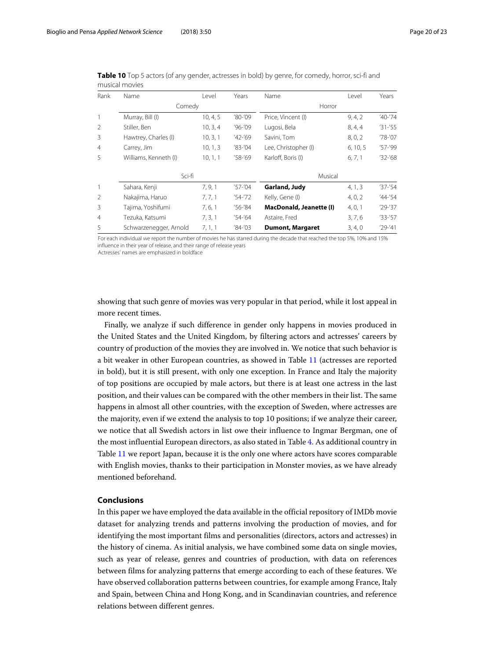| Rank           | Name                   | Level    | Years                       | Name                           | Level    | Years       |
|----------------|------------------------|----------|-----------------------------|--------------------------------|----------|-------------|
|                | Comedy                 |          |                             | Horror                         |          |             |
|                | Murray, Bill (I)       | 10, 4, 5 | $'80-'09$                   | Price, Vincent (I)             | 9, 4, 2  | $'40-'74$   |
| $\mathcal{P}$  | Stiller, Ben           | 10, 3, 4 | $'96 - '09$                 | Lugosi, Bela                   | 8, 4, 4  | $'31 - '55$ |
| 3              | Hawtrey, Charles (I)   | 10, 3, 1 | $'42 - 69$                  | Savini, Tom                    | 8, 0, 2  | $'78-'07$   |
| $\overline{4}$ | Carrey, Jim            | 10, 1, 3 | $'83-'04$                   | Lee, Christopher (I)           | 6, 10, 5 | $'57-'99$   |
| 5              | Williams, Kenneth (I)  | 10, 1, 1 | $^{\prime}58 - ^{\prime}69$ | Karloff, Boris (I)             | 6, 7, 1  | $'32-'68$   |
|                | Sci-fi                 |          |                             | Musical                        |          |             |
|                | Sahara, Kenji          | 7, 9, 1  | $'57 - '04$                 | Garland, Judy                  | 4, 1, 3  | $'37-'54$   |
| $\overline{2}$ | Nakajima, Haruo        | 7, 7, 1  | $'54-'72$                   | Kelly, Gene (I)                | 4, 0, 2  | $'44-'54$   |
| 3              | Tajima, Yoshifumi      | 7, 6, 1  | $'56 - '84$                 | <b>MacDonald, Jeanette (I)</b> | 4, 0, 1  | $'29-'37$   |
| $\overline{4}$ | Tezuka, Katsumi        | 7, 3, 1  | $'54-(64)$                  | Astaire, Fred                  | 3, 7, 6  | $'33-'57$   |
| 5              | Schwarzenegger, Arnold | 7, 1, 1  | $'84-(03)$                  | <b>Dumont, Margaret</b>        | 3, 4, 0  | $'29 - 41$  |

<span id="page-19-1"></span>**Table 10** Top 5 actors (of any gender, actresses in bold) by genre, for comedy, horror, sci-fi and musical movies

For each individual we report the number of movies he has starred during the decade that reached the top 5%, 10% and 15% influence in their year of release, and their range of release years Actresses' names are emphasized in boldface

showing that such genre of movies was very popular in that period, while it lost appeal in more recent times.

Finally, we analyze if such difference in gender only happens in movies produced in the United States and the United Kingdom, by filtering actors and actresses' careers by country of production of the movies they are involved in. We notice that such behavior is a bit weaker in other European countries, as showed in Table [11](#page-20-0) (actresses are reported in bold), but it is still present, with only one exception. In France and Italy the majority of top positions are occupied by male actors, but there is at least one actress in the last position, and their values can be compared with the other members in their list. The same happens in almost all other countries, with the exception of Sweden, where actresses are the majority, even if we extend the analysis to top 10 positions; if we analyze their career, we notice that all Swedish actors in list owe their influence to Ingmar Bergman, one of the most influential European directors, as also stated in Table [4.](#page-14-0) As additional country in Table [11](#page-20-0) we report Japan, because it is the only one where actors have scores comparable with English movies, thanks to their participation in Monster movies, as we have already mentioned beforehand.

# <span id="page-19-0"></span>**Conclusions**

In this paper we have employed the data available in the official repository of IMDb movie dataset for analyzing trends and patterns involving the production of movies, and for identifying the most important films and personalities (directors, actors and actresses) in the history of cinema. As initial analysis, we have combined some data on single movies, such as year of release, genres and countries of production, with data on references between films for analyzing patterns that emerge according to each of these features. We have observed collaboration patterns between countries, for example among France, Italy and Spain, between China and Hong Kong, and in Scandinavian countries, and reference relations between different genres.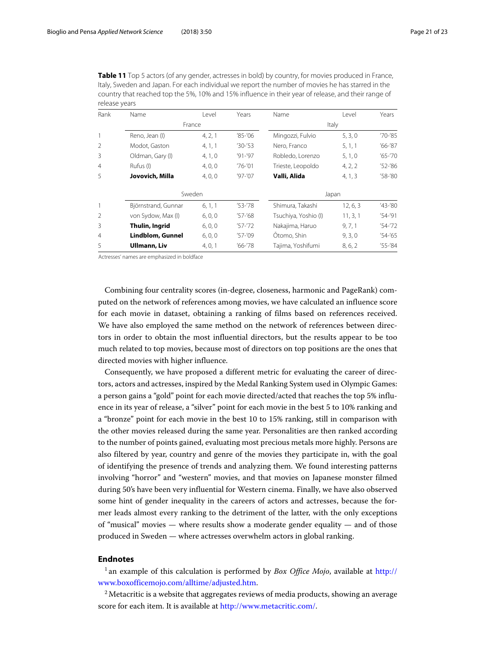<span id="page-20-0"></span>

| <b>Table 11</b> Top 5 actors (of any gender, actresses in bold) by country, for movies produced in France, |
|------------------------------------------------------------------------------------------------------------|
| Italy, Sweden and Japan. For each individual we report the number of movies he has starred in the          |
| country that reached top the 5%, 10% and 15% influence in their year of release, and their range of        |
| release years                                                                                              |

| Rank           | Name                | evel    | Years       | Name                 | l evel   | Years       |
|----------------|---------------------|---------|-------------|----------------------|----------|-------------|
|                | France              |         |             | Italy                |          |             |
| 1              | Reno, Jean (I)      | 4, 2, 1 | $'85 - '06$ | Mingozzi, Fulvio     | 5, 3, 0  | $'70-'85$   |
| 2              | Modot, Gaston       | 4, 1, 1 | $'30-'53$   | Nero, Franco         | 5, 1, 1  | $'66 - '87$ |
| 3              | Oldman, Gary (I)    | 4, 1, 0 | $'91 - '97$ | Robledo, Lorenzo     | 5, 1, 0  | $'65 - '70$ |
| $\overline{4}$ | Rufus (I)           | 4, 0, 0 | $76 - 01$   | Trieste, Leopoldo    | 4, 2, 2  | $'52 - '86$ |
| 5              | Jovovich, Milla     | 4, 0, 0 | $'97 - '07$ | Valli, Alida         | 4, 1, 3  | $'58 - '80$ |
|                | Sweden              |         |             | Japan                |          |             |
| 1              | Björnstrand, Gunnar | 6, 1, 1 | $'53-'78$   | Shimura, Takashi     | 12, 6, 3 | $'43-'80$   |
| 2              | von Sydow, Max (I)  | 6, 0, 0 | $'57 - '68$ | Tsuchiya, Yoshio (I) | 11, 3, 1 | $'54-'91$   |
| 3              | Thulin, Ingrid      | 6, 0, 0 | $'57 - '72$ | Nakajima, Haruo      | 9, 7, 1  | $'54-'72$   |
| 4              | Lindblom, Gunnel    | 6, 0, 0 | $'57-(09)$  | Otomo, Shin          | 9, 3, 0  | $'54-(65)$  |
| 5              | <b>Ullmann, Liv</b> | 4, 0, 1 | $'66 - '78$ | Tajima, Yoshifumi    | 8, 6, 2  | $'55 - '84$ |

Actresses' names are emphasized in boldface

Combining four centrality scores (in-degree, closeness, harmonic and PageRank) computed on the network of references among movies, we have calculated an influence score for each movie in dataset, obtaining a ranking of films based on references received. We have also employed the same method on the network of references between directors in order to obtain the most influential directors, but the results appear to be too much related to top movies, because most of directors on top positions are the ones that directed movies with higher influence.

Consequently, we have proposed a different metric for evaluating the career of directors, actors and actresses, inspired by the Medal Ranking System used in Olympic Games: a person gains a "gold" point for each movie directed/acted that reaches the top 5% influence in its year of release, a "silver" point for each movie in the best 5 to 10% ranking and a "bronze" point for each movie in the best 10 to 15% ranking, still in comparison with the other movies released during the same year. Personalities are then ranked according to the number of points gained, evaluating most precious metals more highly. Persons are also filtered by year, country and genre of the movies they participate in, with the goal of identifying the presence of trends and analyzing them. We found interesting patterns involving "horror" and "western" movies, and that movies on Japanese monster filmed during 50's have been very influential for Western cinema. Finally, we have also observed some hint of gender inequality in the careers of actors and actresses, because the former leads almost every ranking to the detriment of the latter, with the only exceptions of "musical" movies — where results show a moderate gender equality — and of those produced in Sweden — where actresses overwhelm actors in global ranking.

# **Endnotes**

<sup>1</sup> an example of this calculation is performed by *Box Office Mojo*, available at [http://](http://www.boxofficemojo.com/alltime/adjusted.htm) [www.boxofficemojo.com/alltime/adjusted.htm.](http://www.boxofficemojo.com/alltime/adjusted.htm)

<sup>2</sup> Metacritic is a website that aggregates reviews of media products, showing an average score for each item. It is available at [http://www.metacritic.com/.](http://www.metacritic.com/)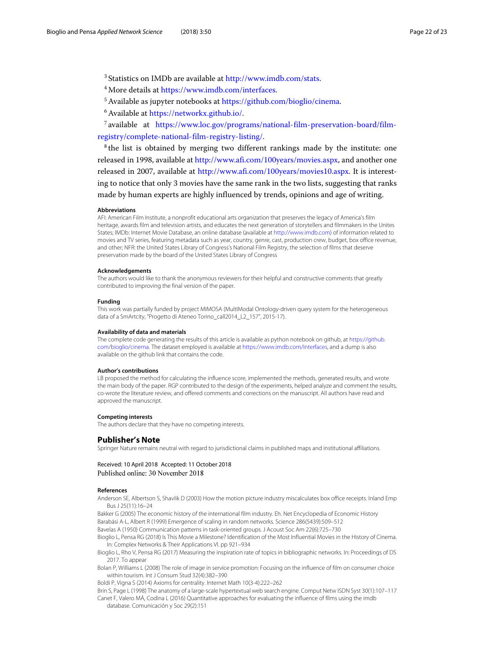<sup>3</sup> Statistics on IMDb are available at [http://www.imdb.com/stats.](http://www.imdb.com/stats)

4More details at [https://www.imdb.com/interfaces.](https://www.imdb.com/interfaces)

<sup>5</sup> Available as jupyter notebooks at [https://github.com/bioglio/cinema.](https://github.com/bioglio/cinema)

<sup>6</sup> Available at [https://networkx.github.io/.](https://networkx.github.io/)

<sup>7</sup> available at [https://www.loc.gov/programs/national-film-preservation-board/film](https://www.loc.gov/programs/national-film-preservation-board/film-registry/complete-national-film-registry-listing/)[registry/complete-national-film-registry-listing/.](https://www.loc.gov/programs/national-film-preservation-board/film-registry/complete-national-film-registry-listing/)

<sup>8</sup> the list is obtained by merging two different rankings made by the institute: one released in 1998, available at [http://www.afi.com/100years/movies.aspx,](http://www.afi.com/100years/movies.aspx) and another one released in 2007, available at [http://www.afi.com/100years/movies10.aspx.](http://www.afi.com/100years/movies10.aspx) It is interesting to notice that only 3 movies have the same rank in the two lists, suggesting that ranks made by human experts are highly influenced by trends, opinions and age of writing.

#### **Abbreviations**

AFI: American Film Institute, a nonprofit educational arts organization that preserves the legacy of America's film heritage, awards film and television artists, and educates the next generation of storytellers and filmmakers in the Unites States; IMDb: Internet Movie Database, an online database (available at [http://www.imdb.com\)](http://www.imdb.com) of information related to movies and TV series, featuring metadata such as year, country, genre, cast, production crew, budget, box office revenue, and other; NFR: the United States Library of Congress's National Film Registry, the selection of films that deserve preservation made by the board of the United States Library of Congress

## **Acknowledgements**

The authors would like to thank the anonymous reviewers for their helpful and constructive comments that greatly contributed to improving the final version of the paper.

### **Funding**

This work was partially funded by project MIMOSA (MultIModal Ontology-driven query system for the heterogeneous data of a SmArtcity, "Progetto di Ateneo Torino\_call2014\_L2\_157", 2015-17).

## **Availability of data and materials**

The complete code generating the results of this article is available as python notebook on github, at [https://github.](https://github.com/bioglio/cinema) [com/bioglio/cinema.](https://github.com/bioglio/cinema) The dataset employed is available at [https://www.imdb.com/interfaces,](https://www.imdb.com/interfaces) and a dump is also available on the github link that contains the code.

## **Author's contributions**

LB proposed the method for calculating the influence score, implemented the methods, generated results, and wrote the main body of the paper. RGP contributed to the design of the experiments, helped analyze and comment the results, co-wrote the literature review, and offered comments and corrections on the manuscript. All authors have read and approved the manuscript.

#### **Competing interests**

The authors declare that they have no competing interests.

#### **Publisher's Note**

Springer Nature remains neutral with regard to jurisdictional claims in published maps and institutional affiliations.

# Received: 10 April 2018 Accepted: 11 October 2018

Published online: 30 November 2018

## **References**

<span id="page-21-2"></span>Anderson SE, Albertson S, Shavlik D (2003) How the motion picture industry miscalculates box office receipts. Inland Emp Bus J 25(11):16–24

<span id="page-21-0"></span>Bakker G (2005) The economic history of the international film industry. Eh. Net Encyclopedia of Economic History Barabási A-L, Albert R (1999) Emergence of scaling in random networks. Science 286(5439):509–512

<span id="page-21-7"></span><span id="page-21-5"></span>Bavelas A (1950) Communication patterns in task-oriented groups. J Acoust Soc Am 22(6):725–730

<span id="page-21-6"></span>Bioglio L, Pensa RG (2018) Is This Movie a Milestone? Identification of the Most Influential Movies in the History of Cinema. In: Complex Networks & Their Applications VI. pp 921–934

<span id="page-21-4"></span>Bioglio L, Rho V, Pensa RG (2017) Measuring the inspiration rate of topics in bibliographic networks. In: Proceedings of DS 2017. To appear

<span id="page-21-1"></span>Bolan P, Williams L (2008) The role of image in service promotion: Focusing on the influence of film on consumer choice within tourism. Int J Consum Stud 32(4):382–390

<span id="page-21-9"></span>Boldi P, Vigna S (2014) Axioms for centrality. Internet Math 10(3-4):222–262

<span id="page-21-8"></span>Brin S, Page L (1998) The anatomy of a large-scale hypertextual web search engine. Comput Netw ISDN Syst 30(1):107–117 Canet F, Valero MÁ, Codina L (2016) Quantitative approaches for evaluating the influence of films using the imdb

<span id="page-21-3"></span>database. Comunicación y Soc 29(2):151